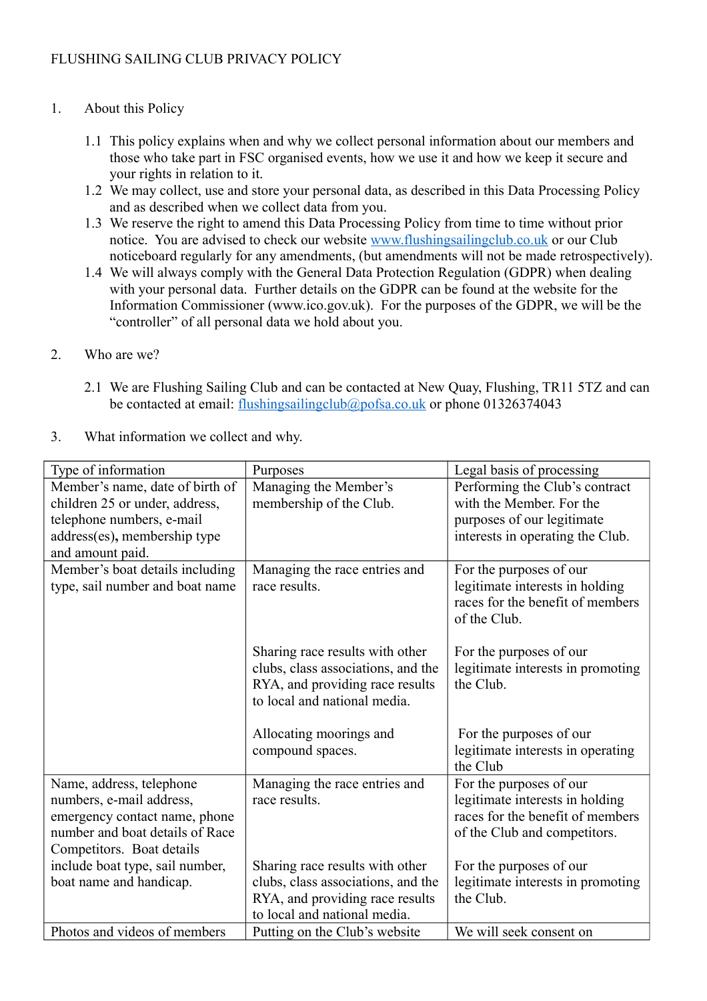## 1. About this Policy

- 1.1 This policy explains when and why we collect personal information about our members and those who take part in FSC organised events, how we use it and how we keep it secure and your rights in relation to it.
- 1.2 We may collect, use and store your personal data, as described in this Data Processing Policy and as described when we collect data from you.
- 1.3 We reserve the right to amend this Data Processing Policy from time to time without prior notice. You are advised to check our website [www.flushingsailingclub.co.uk](http://www.flushingsailingclub.co.uk/) or our Club noticeboard regularly for any amendments, (but amendments will not be made retrospectively).
- 1.4 We will always comply with the General Data Protection Regulation (GDPR) when dealing with your personal data. Further details on the GDPR can be found at the website for the Information Commissioner (www.ico.gov.uk). For the purposes of the GDPR, we will be the "controller" of all personal data we hold about you.

## 2. Who are we?

- 2.1 We are Flushing Sailing Club and can be contacted at New Quay, Flushing, TR11 5TZ and can be contacted at email: [flushingsailingclub@pofsa.co.uk](mailto:flushingsailingclub@pofsa.co.uk) or phone 01326374043
- 3. What information we collect and why.

| Type of information             | Purposes                           | Legal basis of processing         |
|---------------------------------|------------------------------------|-----------------------------------|
| Member's name, date of birth of | Managing the Member's              | Performing the Club's contract    |
| children 25 or under, address,  | membership of the Club.            | with the Member. For the          |
| telephone numbers, e-mail       |                                    | purposes of our legitimate        |
| address(es), membership type    |                                    | interests in operating the Club.  |
| and amount paid.                |                                    |                                   |
| Member's boat details including | Managing the race entries and      | For the purposes of our           |
| type, sail number and boat name | race results.                      | legitimate interests in holding   |
|                                 |                                    | races for the benefit of members  |
|                                 |                                    | of the Club.                      |
|                                 |                                    |                                   |
|                                 | Sharing race results with other    | For the purposes of our           |
|                                 | clubs, class associations, and the | legitimate interests in promoting |
|                                 | RYA, and providing race results    | the Club.                         |
|                                 | to local and national media.       |                                   |
|                                 | Allocating moorings and            | For the purposes of our           |
|                                 | compound spaces.                   | legitimate interests in operating |
|                                 |                                    | the Club                          |
| Name, address, telephone        | Managing the race entries and      | For the purposes of our           |
| numbers, e-mail address,        | race results.                      | legitimate interests in holding   |
| emergency contact name, phone   |                                    | races for the benefit of members  |
| number and boat details of Race |                                    | of the Club and competitors.      |
| Competitors. Boat details       |                                    |                                   |
| include boat type, sail number, | Sharing race results with other    | For the purposes of our           |
| boat name and handicap.         | clubs, class associations, and the | legitimate interests in promoting |
|                                 | RYA, and providing race results    | the Club.                         |
|                                 | to local and national media.       |                                   |
| Photos and videos of members    | Putting on the Club's website      | We will seek consent on           |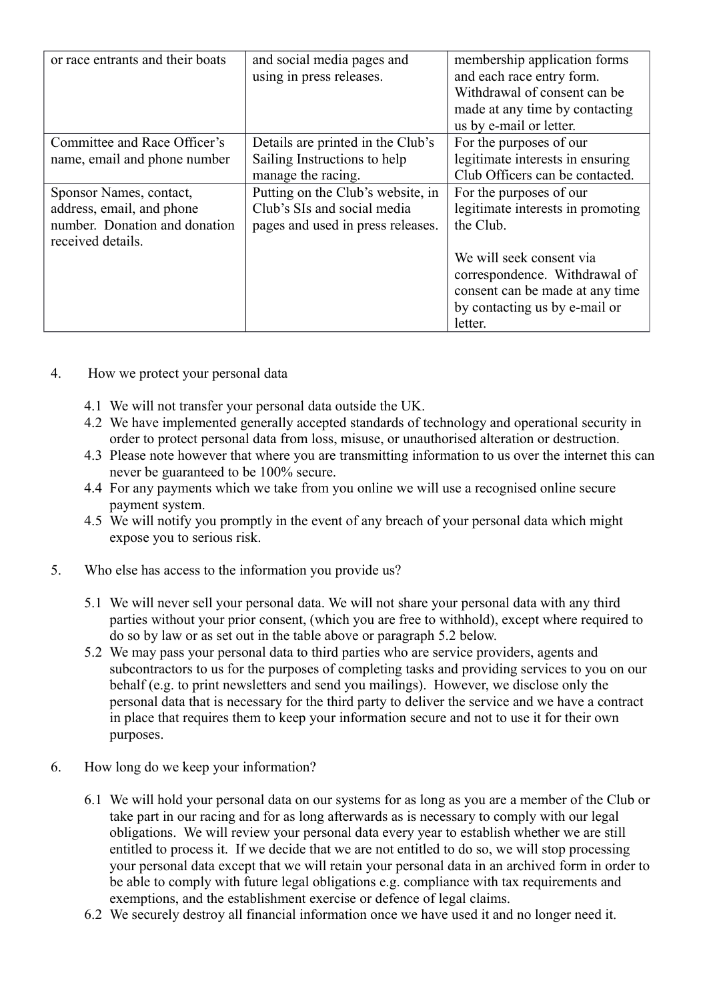| or race entrants and their boats                                                                           | and social media pages and<br>using in press releases.                                                | membership application forms<br>and each race entry form.<br>Withdrawal of consent can be<br>made at any time by contacting<br>us by e-mail or letter. |
|------------------------------------------------------------------------------------------------------------|-------------------------------------------------------------------------------------------------------|--------------------------------------------------------------------------------------------------------------------------------------------------------|
| Committee and Race Officer's                                                                               | Details are printed in the Club's                                                                     | For the purposes of our                                                                                                                                |
| name, email and phone number                                                                               | Sailing Instructions to help                                                                          | legitimate interests in ensuring                                                                                                                       |
|                                                                                                            | manage the racing.                                                                                    | Club Officers can be contacted.                                                                                                                        |
| Sponsor Names, contact,<br>address, email, and phone<br>number. Donation and donation<br>received details. | Putting on the Club's website, in<br>Club's SIs and social media<br>pages and used in press releases. | For the purposes of our<br>legitimate interests in promoting<br>the Club.                                                                              |
|                                                                                                            |                                                                                                       | We will seek consent via<br>correspondence. Withdrawal of<br>consent can be made at any time<br>by contacting us by e-mail or<br>letter.               |

- 4. How we protect your personal data
	- 4.1 We will not transfer your personal data outside the UK.
	- 4.2 We have implemented generally accepted standards of technology and operational security in order to protect personal data from loss, misuse, or unauthorised alteration or destruction.
	- 4.3 Please note however that where you are transmitting information to us over the internet this can never be guaranteed to be 100% secure.
	- 4.4 For any payments which we take from you online we will use a recognised online secure payment system.
	- 4.5 We will notify you promptly in the event of any breach of your personal data which might expose you to serious risk.
- 5. Who else has access to the information you provide us?
	- 5.1 We will never sell your personal data. We will not share your personal data with any third parties without your prior consent, (which you are free to withhold), except where required to do so by law or as set out in the table above or paragraph 5.2 below.
	- 5.2 We may pass your personal data to third parties who are service providers, agents and subcontractors to us for the purposes of completing tasks and providing services to you on our behalf (e.g. to print newsletters and send you mailings). However, we disclose only the personal data that is necessary for the third party to deliver the service and we have a contract in place that requires them to keep your information secure and not to use it for their own purposes.
- 6. How long do we keep your information?
	- 6.1 We will hold your personal data on our systems for as long as you are a member of the Club or take part in our racing and for as long afterwards as is necessary to comply with our legal obligations. We will review your personal data every year to establish whether we are still entitled to process it. If we decide that we are not entitled to do so, we will stop processing your personal data except that we will retain your personal data in an archived form in order to be able to comply with future legal obligations e.g. compliance with tax requirements and exemptions, and the establishment exercise or defence of legal claims.
	- 6.2 We securely destroy all financial information once we have used it and no longer need it.